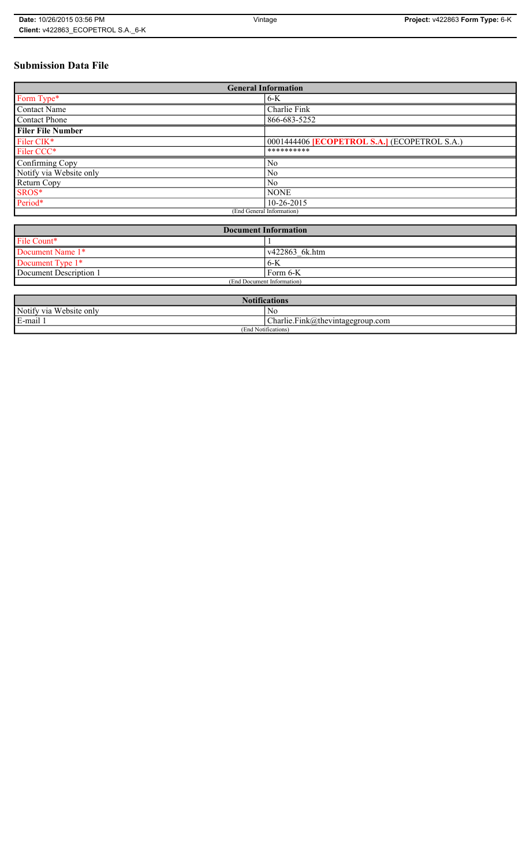# **Submission Data File**

| <b>General Information</b> |                                                   |
|----------------------------|---------------------------------------------------|
| Form Type*                 | $6-K$                                             |
| <b>Contact Name</b>        | Charlie Fink                                      |
| <b>Contact Phone</b>       | 866-683-5252                                      |
| <b>Filer File Number</b>   |                                                   |
| Filer CIK*                 | 0001444406 <b>ECOPETROL S.A.</b> (ECOPETROL S.A.) |
| Filer CCC*                 | **********                                        |
| Confirming Copy            | N <sub>0</sub>                                    |
| Notify via Website only    | N <sub>0</sub>                                    |
| Return Copy                | N <sub>0</sub>                                    |
| SROS*                      | <b>NONE</b>                                       |
| Period*                    | 10-26-2015                                        |
| (End General Information)  |                                                   |

| <b>Document Information</b> |                |
|-----------------------------|----------------|
| File Count*                 |                |
| Document Name 1*            | v422863 6k.htm |
| Document Type 1*            | 6-K            |
| Document Description 1      | Form 6-K       |
| (End Document Information)  |                |

| <b>Notifications</b>    |                                                       |
|-------------------------|-------------------------------------------------------|
| Notify via Website only | N0                                                    |
| E-mail 1                | $\mathbf{r}$<br>$Charlie.Fink(a)$ thevintagegroup.com |
| (End Notifications)     |                                                       |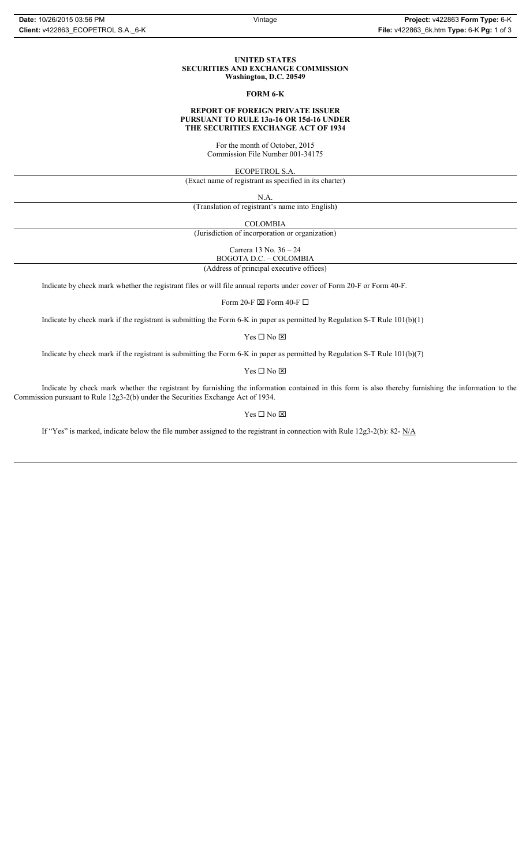#### **UNITED STATES SECURITIES AND EXCHANGE COMMISSION Washington, D.C. 20549**

### **FORM 6-K**

## **REPORT OF FOREIGN PRIVATE ISSUER PURSUANT TO RULE 13a-16 OR 15d-16 UNDER THE SECURITIES EXCHANGE ACT OF 1934**

For the month of October, 2015 Commission File Number 001-34175

ECOPETROL S.A.

(Exact name of registrant as specified in its charter)

N.A.

(Translation of registrant's name into English)

COLOMBIA

(Jurisdiction of incorporation or organization)

Carrera 13 No. 36 – 24

BOGOTA D.C. – COLOMBIA (Address of principal executive offices)

Indicate by check mark whether the registrant files or will file annual reports under cover of Form 20-F or Form 40-F.

Form 20-F  $\boxtimes$  Form 40-F  $\Box$ 

Indicate by check mark if the registrant is submitting the Form 6-K in paper as permitted by Regulation S-T Rule 101(b)(1)

Yes $\Box$  No  $\boxtimes$ 

Indicate by check mark if the registrant is submitting the Form 6-K in paper as permitted by Regulation S-T Rule 101(b)(7)

Yes $\Box$  No  $\boxtimes$ 

Indicate by check mark whether the registrant by furnishing the information contained in this form is also thereby furnishing the information to the Commission pursuant to Rule 12g3-2(b) under the Securities Exchange Act of 1934.

### Yes $\Box$  No  $\boxtimes$

If "Yes" is marked, indicate below the file number assigned to the registrant in connection with Rule 12g3-2(b): 82-  $N/A$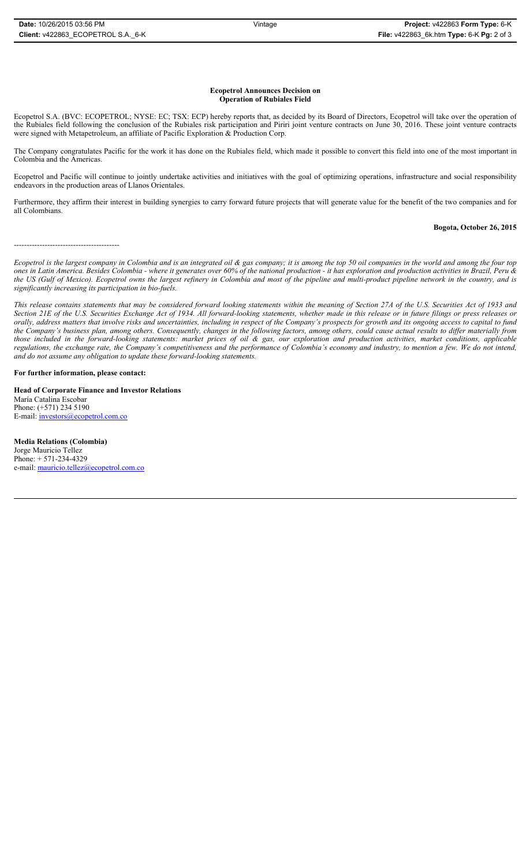#### **Ecopetrol Announces Decision on Operation of Rubiales Field**

Ecopetrol S.A. (BVC: ECOPETROL; NYSE: EC; TSX: ECP) hereby reports that, as decided by its Board of Directors, Ecopetrol will take over the operation of the Rubiales field following the conclusion of the Rubiales risk participation and Piriri joint venture contracts on June 30, 2016. These joint venture contracts were signed with Metapetroleum, an affiliate of Pacific Exploration & Production Corp.

The Company congratulates Pacific for the work it has done on the Rubiales field, which made it possible to convert this field into one of the most important in Colombia and the Americas.

Ecopetrol and Pacific will continue to jointly undertake activities and initiatives with the goal of optimizing operations, infrastructure and social responsibility endeavors in the production areas of Llanos Orientales.

Furthermore, they affirm their interest in building synergies to carry forward future projects that will generate value for the benefit of the two companies and for all Colombians.

## **Bogota, October 26, 2015**

-----------------------------------------

*Ecopetrol is the largest company in Colombia and is an integrated oil & gas company; it is among the top 50 oil companies in the world and among the four top ones in Latin America. Besides Colombia - where it generates over 60% of the national production - it has exploration and production activities in Brazil, Peru & the US (Gulf of Mexico). Ecopetrol owns the largest refinery in Colombia and most of the pipeline and multi-product pipeline network in the country, and is significantly increasing its participation in bio-fuels.*

*This release contains statements that may be considered forward looking statements within the meaning of Section 27A of the U.S. Securities Act of 1933 and Section 21E of the U.S. Securities Exchange Act of 1934. All forward-looking statements, whether made in this release or in future filings or press releases or orally, address matters that involve risks and uncertainties, including in respect of the Company's prospects for growth and its ongoing access to capital to fund the Company's business plan, among others. Consequently, changes in the following factors, among others, could cause actual results to differ materially from those included in the forward-looking statements: market prices of oil & gas, our exploration and production activities, market conditions, applicable regulations, the exchange rate, the Company's competitiveness and the performance of Colombia's economy and industry, to mention a few. We do not intend, and do not assume any obligation to update these forward-looking statements.*

# **For further information, please contact:**

**Head of Corporate Finance and Investor Relations** María Catalina Escobar Phone: (+571) 234 5190 E-mail: investors@ecopetrol.com.co

**Media Relations (Colombia)**  Jorge Mauricio Tellez Phone: + 571-234-4329 e-mail: mauricio.tellez@ecopetrol.com.co